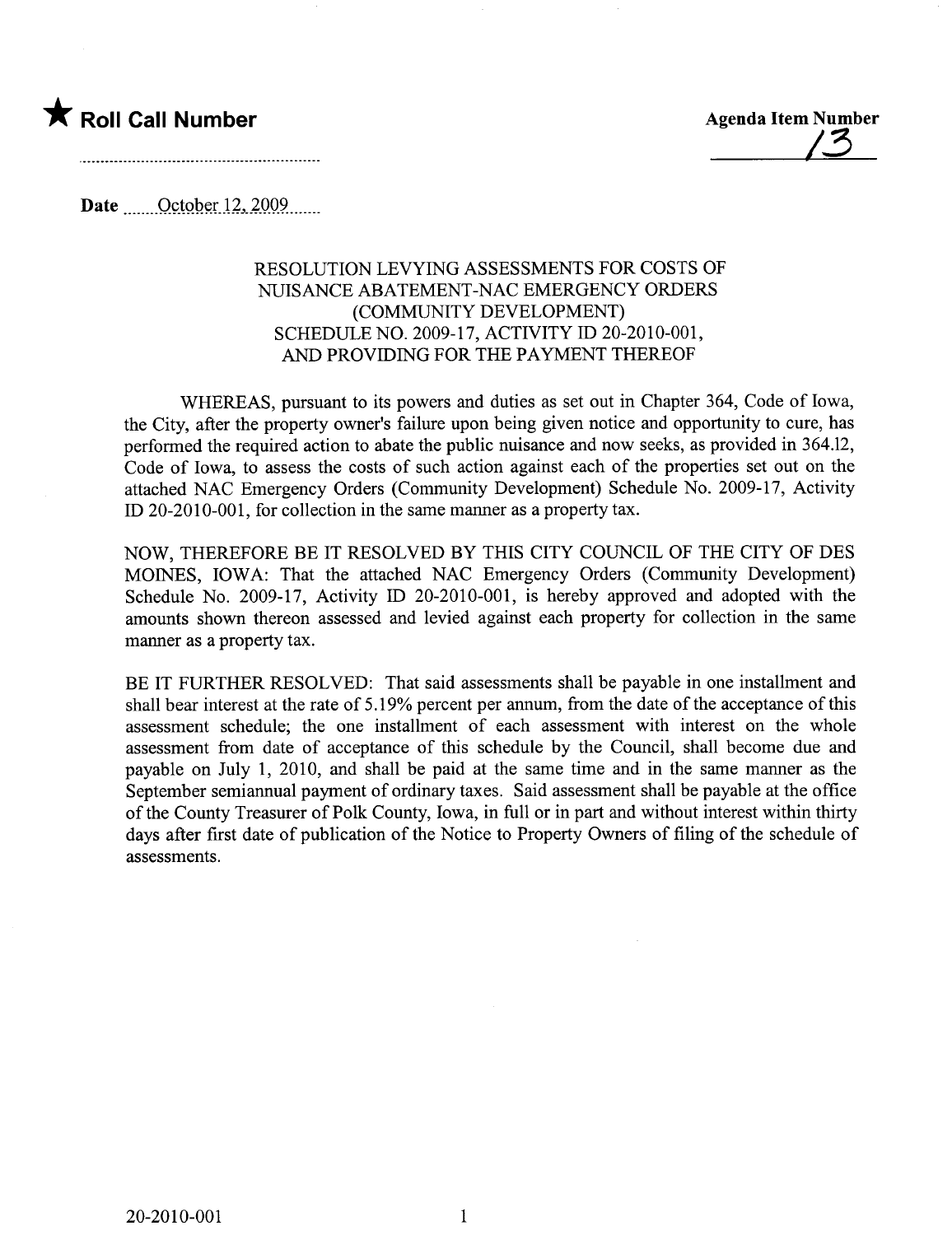## \* Roll Call Number Agenda Item Number

<u>| 3</u>

Date  $\qquad$  October 12, 2009...

## RESOLUTION LEVYING ASSESSMENTS FOR COSTS OF NUISANCE ABATEMENT-NAC EMERGENCY ORDERS (COMMUNITY DEVELOPMENT) SCHEDULE NO. 2009-17, ACTIVITY ID 20-2010-001, AND PROVIDING FOR THE PAYMENT THEREOF

WHEREAS, pursuant to its powers and duties as set out in Chapter 364, Code of Iowa, the City, after the property owner's failure upon being given notice and opportunity to cure, has performed the required action to abate the public nuisance and now seeks, as provided in 364.12, Code of Iowa, to assess the costs of such action against each of the properties set out on the attached NAC Emergency Orders (Community Development) Schedule No. 2009-17, Activity ID 20-2010-001, for collection in the same manner as a property tax.

NOW, THEREFORE BE IT RESOLVED BY THIS CITY COUNCIL OF THE CITY OF DES MOINS, IOWA: That the attached NAC Emergency Orders (Community Development) Schedule No. 2009-17, Activity ID 20-2010-001, is hereby approved and adopted with the amounts shown thereon assessed and levied against each property for collection in the same manner as a property tax.

BE IT FURTHER RESOLVED: That said assessments shall be payable in one installment and shall bear interest at the rate of 5.19% percent per anum, from the date of the acceptance of this assessment schedule; the one installment of each assessment with interest on the whole assessment from date of acceptance of this schedule by the Council, shall become due and payable on July 1, 2010, and shall be paid at the same time and in the same manner as the September semiannual payment of ordinary taxes. Said assessment shall be payable at the office of the County Treasurer of Polk County, Iowa, in full or in part and without interest within thirty days after first date of publication of the Notice to Property Owners of filing of the schedule of assessments.